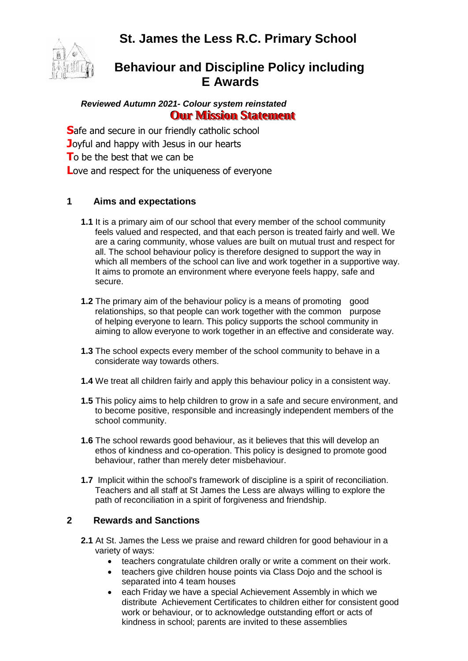**St. James the Less R.C. Primary School**



# **Behaviour and Discipline Policy including E Awards**

# *Reviewed Autumn 2021- Colour system reinstated* **Our Mission Statement**

**S**afe and secure in our friendly catholic school **J**oyful and happy with Jesus in our hearts **T**o be the best that we can be **L**ove and respect for the uniqueness of everyone

# **1 Aims and expectations**

- **1.1** It is a primary aim of our school that every member of the school community feels valued and respected, and that each person is treated fairly and well. We are a caring community, whose values are built on mutual trust and respect for all. The school behaviour policy is therefore designed to support the way in which all members of the school can live and work together in a supportive way. It aims to promote an environment where everyone feels happy, safe and secure.
- **1.2** The primary aim of the behaviour policy is a means of promoting good relationships, so that people can work together with the common purpose of helping everyone to learn. This policy supports the school community in aiming to allow everyone to work together in an effective and considerate way.
- **1.3** The school expects every member of the school community to behave in a considerate way towards others.
- **1.4** We treat all children fairly and apply this behaviour policy in a consistent way.
- **1.5** This policy aims to help children to grow in a safe and secure environment, and to become positive, responsible and increasingly independent members of the school community.
- **1.6** The school rewards good behaviour, as it believes that this will develop an ethos of kindness and co-operation. This policy is designed to promote good behaviour, rather than merely deter misbehaviour.
- **1.7** Implicit within the school's framework of discipline is a spirit of reconciliation. Teachers and all staff at St James the Less are always willing to explore the path of reconciliation in a spirit of forgiveness and friendship.

# **2 Rewards and Sanctions**

- **2.1** At St. James the Less we praise and reward children for good behaviour in a variety of ways:
	- teachers congratulate children orally or write a comment on their work.
	- teachers give children house points via Class Dojo and the school is separated into 4 team houses
	- each Friday we have a special Achievement Assembly in which we distribute Achievement Certificates to children either for consistent good work or behaviour, or to acknowledge outstanding effort or acts of kindness in school; parents are invited to these assemblies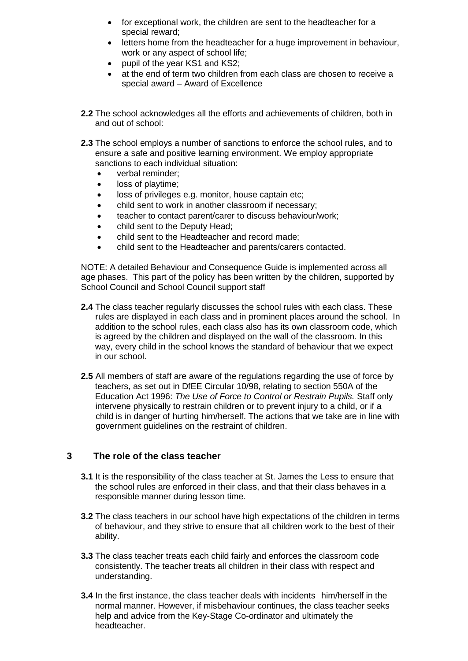- for exceptional work, the children are sent to the headteacher for a special reward;
- letters home from the headteacher for a huge improvement in behaviour, work or any aspect of school life;
- pupil of the year KS1 and KS2;
- at the end of term two children from each class are chosen to receive a special award – Award of Excellence
- **2.2** The school acknowledges all the efforts and achievements of children, both in and out of school:
- **2.3** The school employs a number of sanctions to enforce the school rules, and to ensure a safe and positive learning environment. We employ appropriate sanctions to each individual situation:
	- verbal reminder:
	- loss of playtime;
	- **.** loss of privileges e.g. monitor, house captain etc;
	- child sent to work in another classroom if necessary;
	- teacher to contact parent/carer to discuss behaviour/work;
	- child sent to the Deputy Head;
	- child sent to the Headteacher and record made;
	- child sent to the Headteacher and parents/carers contacted.

NOTE: A detailed Behaviour and Consequence Guide is implemented across all age phases. This part of the policy has been written by the children, supported by School Council and School Council support staff

- **2.4** The class teacher regularly discusses the school rules with each class. These rules are displayed in each class and in prominent places around the school. In addition to the school rules, each class also has its own classroom code, which is agreed by the children and displayed on the wall of the classroom. In this way, every child in the school knows the standard of behaviour that we expect in our school.
- **2.5** All members of staff are aware of the regulations regarding the use of force by teachers, as set out in DfEE Circular 10/98, relating to section 550A of the Education Act 1996: *The Use of Force to Control or Restrain Pupils.* Staff only intervene physically to restrain children or to prevent injury to a child, or if a child is in danger of hurting him/herself. The actions that we take are in line with government guidelines on the restraint of children.

# **3 The role of the class teacher**

- **3.1** It is the responsibility of the class teacher at St. James the Less to ensure that the school rules are enforced in their class, and that their class behaves in a responsible manner during lesson time.
- **3.2** The class teachers in our school have high expectations of the children in terms of behaviour, and they strive to ensure that all children work to the best of their ability.
- **3.3** The class teacher treats each child fairly and enforces the classroom code consistently. The teacher treats all children in their class with respect and understanding.
- **3.4** In the first instance, the class teacher deals with incidents him/herself in the normal manner. However, if misbehaviour continues, the class teacher seeks help and advice from the Key-Stage Co-ordinator and ultimately the headteacher.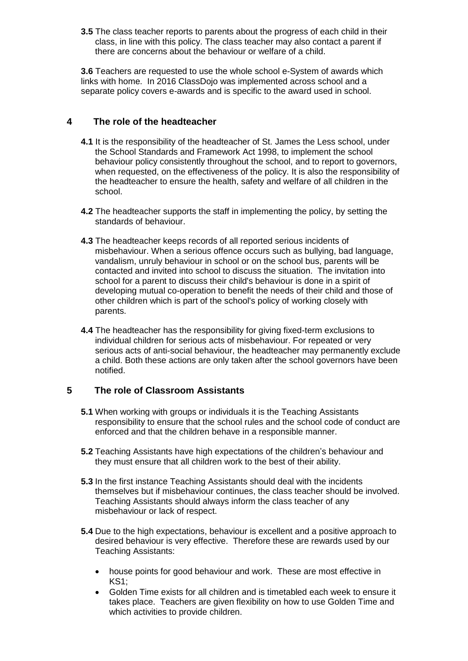**3.5** The class teacher reports to parents about the progress of each child in their class, in line with this policy. The class teacher may also contact a parent if there are concerns about the behaviour or welfare of a child.

**3.6** Teachers are requested to use the whole school e-System of awards which links with home. In 2016 ClassDojo was implemented across school and a separate policy covers e-awards and is specific to the award used in school.

# **4 The role of the headteacher**

- **4.1** It is the responsibility of the headteacher of St. James the Less school, under the School Standards and Framework Act 1998, to implement the school behaviour policy consistently throughout the school, and to report to governors, when requested, on the effectiveness of the policy. It is also the responsibility of the headteacher to ensure the health, safety and welfare of all children in the school.
- **4.2** The headteacher supports the staff in implementing the policy, by setting the standards of behaviour.
- **4.3** The headteacher keeps records of all reported serious incidents of misbehaviour. When a serious offence occurs such as bullying, bad language, vandalism, unruly behaviour in school or on the school bus, parents will be contacted and invited into school to discuss the situation. The invitation into school for a parent to discuss their child's behaviour is done in a spirit of developing mutual co-operation to benefit the needs of their child and those of other children which is part of the school's policy of working closely with parents.
- **4.4** The headteacher has the responsibility for giving fixed-term exclusions to individual children for serious acts of misbehaviour. For repeated or very serious acts of anti-social behaviour, the headteacher may permanently exclude a child. Both these actions are only taken after the school governors have been notified.

# **5 The role of Classroom Assistants**

- **5.1** When working with groups or individuals it is the Teaching Assistants responsibility to ensure that the school rules and the school code of conduct are enforced and that the children behave in a responsible manner.
- **5.2** Teaching Assistants have high expectations of the children's behaviour and they must ensure that all children work to the best of their ability.
- **5.3** In the first instance Teaching Assistants should deal with the incidents themselves but if misbehaviour continues, the class teacher should be involved. Teaching Assistants should always inform the class teacher of any misbehaviour or lack of respect.
- **5.4** Due to the high expectations, behaviour is excellent and a positive approach to desired behaviour is very effective. Therefore these are rewards used by our Teaching Assistants:
	- house points for good behaviour and work. These are most effective in KS1;
	- Golden Time exists for all children and is timetabled each week to ensure it takes place. Teachers are given flexibility on how to use Golden Time and which activities to provide children.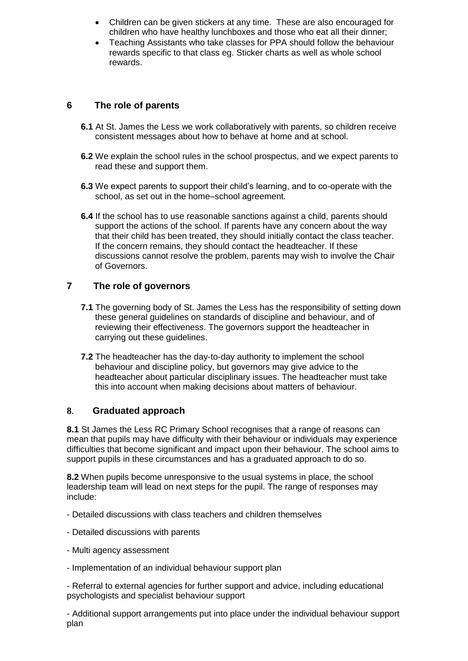- Children can be given stickers at any time. These are also encouraged for children who have healthy lunchboxes and those who eat all their dinner;
- Teaching Assistants who take classes for PPA should follow the behaviour rewards specific to that class eg. Sticker charts as well as whole school rewards.

# **6 The role of parents**

- **6.1** At St. James the Less we work collaboratively with parents, so children receive consistent messages about how to behave at home and at school.
- **6.2** We explain the school rules in the school prospectus, and we expect parents to read these and support them.
- **6.3** We expect parents to support their child's learning, and to co-operate with the school, as set out in the home–school agreement.
- **6.4** If the school has to use reasonable sanctions against a child, parents should support the actions of the school. If parents have any concern about the way that their child has been treated, they should initially contact the class teacher. If the concern remains, they should contact the headteacher. If these discussions cannot resolve the problem, parents may wish to involve the Chair of Governors.

# **7 The role of governors**

- **7.1** The governing body of St. James the Less has the responsibility of setting down these general guidelines on standards of discipline and behaviour, and of reviewing their effectiveness. The governors support the headteacher in carrying out these guidelines.
- **7.2** The headteacher has the day-to-day authority to implement the school behaviour and discipline policy, but governors may give advice to the headteacher about particular disciplinary issues. The headteacher must take this into account when making decisions about matters of behaviour.

### **8**. **Graduated approach**

**8.1** St James the Less RC Primary School recognises that a range of reasons can mean that pupils may have difficulty with their behaviour or individuals may experience difficulties that become significant and impact upon their behaviour. The school aims to support pupils in these circumstances and has a graduated approach to do so.

**8.2** When pupils become unresponsive to the usual systems in place, the school leadership team will lead on next steps for the pupil. The range of responses may include:

- Detailed discussions with class teachers and children themselves
- Detailed discussions with parents
- Multi agency assessment
- Implementation of an individual behaviour support plan

- Referral to external agencies for further support and advice, including educational psychologists and specialist behaviour support

- Additional support arrangements put into place under the individual behaviour support plan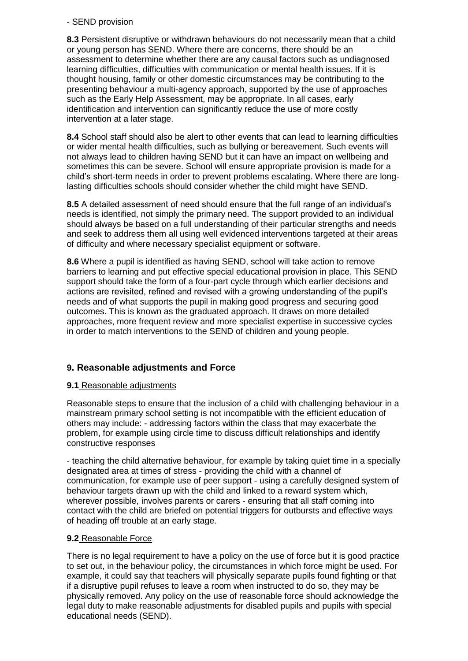#### - SEND provision

**8.3** Persistent disruptive or withdrawn behaviours do not necessarily mean that a child or young person has SEND. Where there are concerns, there should be an assessment to determine whether there are any causal factors such as undiagnosed learning difficulties, difficulties with communication or mental health issues. If it is thought housing, family or other domestic circumstances may be contributing to the presenting behaviour a multi-agency approach, supported by the use of approaches such as the Early Help Assessment, may be appropriate. In all cases, early identification and intervention can significantly reduce the use of more costly intervention at a later stage.

**8.4** School staff should also be alert to other events that can lead to learning difficulties or wider mental health difficulties, such as bullying or bereavement. Such events will not always lead to children having SEND but it can have an impact on wellbeing and sometimes this can be severe. School will ensure appropriate provision is made for a child's short-term needs in order to prevent problems escalating. Where there are longlasting difficulties schools should consider whether the child might have SEND.

**8.5** A detailed assessment of need should ensure that the full range of an individual's needs is identified, not simply the primary need. The support provided to an individual should always be based on a full understanding of their particular strengths and needs and seek to address them all using well evidenced interventions targeted at their areas of difficulty and where necessary specialist equipment or software.

**8.6** Where a pupil is identified as having SEND, school will take action to remove barriers to learning and put effective special educational provision in place. This SEND support should take the form of a four-part cycle through which earlier decisions and actions are revisited, refined and revised with a growing understanding of the pupil's needs and of what supports the pupil in making good progress and securing good outcomes. This is known as the graduated approach. It draws on more detailed approaches, more frequent review and more specialist expertise in successive cycles in order to match interventions to the SEND of children and young people.

# **9. Reasonable adjustments and Force**

### **9.1** Reasonable adjustments

Reasonable steps to ensure that the inclusion of a child with challenging behaviour in a mainstream primary school setting is not incompatible with the efficient education of others may include: - addressing factors within the class that may exacerbate the problem, for example using circle time to discuss difficult relationships and identify constructive responses

- teaching the child alternative behaviour, for example by taking quiet time in a specially designated area at times of stress - providing the child with a channel of communication, for example use of peer support - using a carefully designed system of behaviour targets drawn up with the child and linked to a reward system which, wherever possible, involves parents or carers - ensuring that all staff coming into contact with the child are briefed on potential triggers for outbursts and effective ways of heading off trouble at an early stage.

### **9.2** Reasonable Force

There is no legal requirement to have a policy on the use of force but it is good practice to set out, in the behaviour policy, the circumstances in which force might be used. For example, it could say that teachers will physically separate pupils found fighting or that if a disruptive pupil refuses to leave a room when instructed to do so, they may be physically removed. Any policy on the use of reasonable force should acknowledge the legal duty to make reasonable adjustments for disabled pupils and pupils with special educational needs (SEND).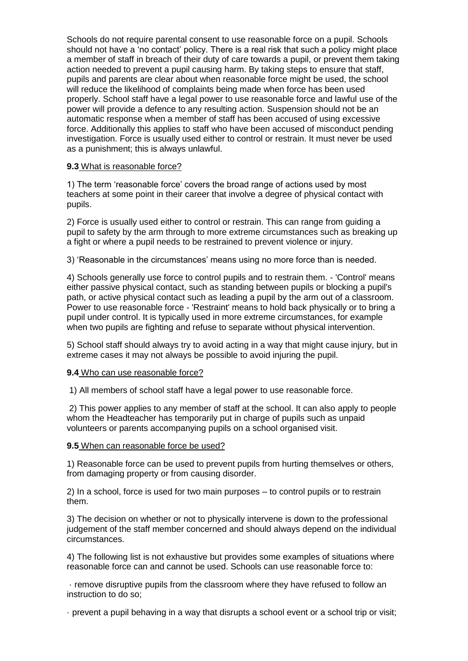Schools do not require parental consent to use reasonable force on a pupil. Schools should not have a 'no contact' policy. There is a real risk that such a policy might place a member of staff in breach of their duty of care towards a pupil, or prevent them taking action needed to prevent a pupil causing harm. By taking steps to ensure that staff, pupils and parents are clear about when reasonable force might be used, the school will reduce the likelihood of complaints being made when force has been used properly. School staff have a legal power to use reasonable force and lawful use of the power will provide a defence to any resulting action. Suspension should not be an automatic response when a member of staff has been accused of using excessive force. Additionally this applies to staff who have been accused of misconduct pending investigation. Force is usually used either to control or restrain. It must never be used as a punishment; this is always unlawful.

#### **9.3** What is reasonable force?

1) The term 'reasonable force' covers the broad range of actions used by most teachers at some point in their career that involve a degree of physical contact with pupils.

2) Force is usually used either to control or restrain. This can range from guiding a pupil to safety by the arm through to more extreme circumstances such as breaking up a fight or where a pupil needs to be restrained to prevent violence or injury.

3) 'Reasonable in the circumstances' means using no more force than is needed.

4) Schools generally use force to control pupils and to restrain them. - 'Control' means either passive physical contact, such as standing between pupils or blocking a pupil's path, or active physical contact such as leading a pupil by the arm out of a classroom. Power to use reasonable force - 'Restraint' means to hold back physically or to bring a pupil under control. It is typically used in more extreme circumstances, for example when two pupils are fighting and refuse to separate without physical intervention.

5) School staff should always try to avoid acting in a way that might cause injury, but in extreme cases it may not always be possible to avoid injuring the pupil.

#### **9.4** Who can use reasonable force?

1) All members of school staff have a legal power to use reasonable force.

2) This power applies to any member of staff at the school. It can also apply to people whom the Headteacher has temporarily put in charge of pupils such as unpaid volunteers or parents accompanying pupils on a school organised visit.

#### **9.5** When can reasonable force be used?

1) Reasonable force can be used to prevent pupils from hurting themselves or others, from damaging property or from causing disorder.

2) In a school, force is used for two main purposes – to control pupils or to restrain them.

3) The decision on whether or not to physically intervene is down to the professional judgement of the staff member concerned and should always depend on the individual circumstances.

4) The following list is not exhaustive but provides some examples of situations where reasonable force can and cannot be used. Schools can use reasonable force to:

· remove disruptive pupils from the classroom where they have refused to follow an instruction to do so;

· prevent a pupil behaving in a way that disrupts a school event or a school trip or visit;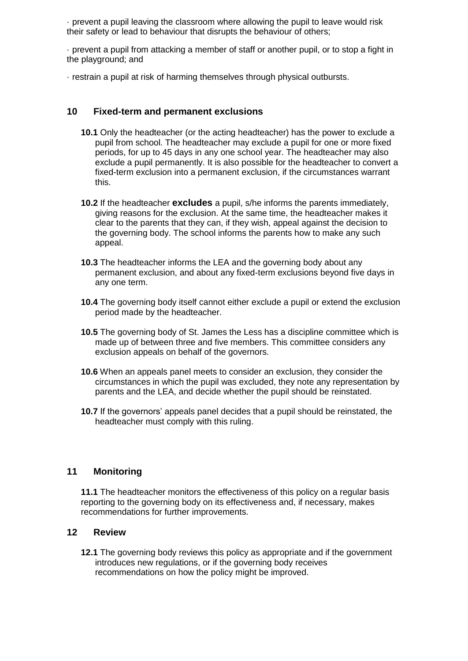· prevent a pupil leaving the classroom where allowing the pupil to leave would risk their safety or lead to behaviour that disrupts the behaviour of others;

· prevent a pupil from attacking a member of staff or another pupil, or to stop a fight in the playground; and

· restrain a pupil at risk of harming themselves through physical outbursts.

### **10 Fixed-term and permanent exclusions**

- **10.1** Only the headteacher (or the acting headteacher) has the power to exclude a pupil from school. The headteacher may exclude a pupil for one or more fixed periods, for up to 45 days in any one school year. The headteacher may also exclude a pupil permanently. It is also possible for the headteacher to convert a fixed-term exclusion into a permanent exclusion, if the circumstances warrant this.
- **10.2** If the headteacher **excludes** a pupil, s/he informs the parents immediately, giving reasons for the exclusion. At the same time, the headteacher makes it clear to the parents that they can, if they wish, appeal against the decision to the governing body. The school informs the parents how to make any such appeal.
- **10.3** The headteacher informs the LEA and the governing body about any permanent exclusion, and about any fixed-term exclusions beyond five days in any one term.
- **10.4** The governing body itself cannot either exclude a pupil or extend the exclusion period made by the headteacher.
- **10.5** The governing body of St. James the Less has a discipline committee which is made up of between three and five members. This committee considers any exclusion appeals on behalf of the governors.
- **10.6** When an appeals panel meets to consider an exclusion, they consider the circumstances in which the pupil was excluded, they note any representation by parents and the LEA, and decide whether the pupil should be reinstated.
- **10.7** If the governors' appeals panel decides that a pupil should be reinstated, the headteacher must comply with this ruling.

# **11 Monitoring**

**11.1** The headteacher monitors the effectiveness of this policy on a regular basis reporting to the governing body on its effectiveness and, if necessary, makes recommendations for further improvements.

### **12 Review**

**12.1** The governing body reviews this policy as appropriate and if the government introduces new regulations, or if the governing body receives recommendations on how the policy might be improved.